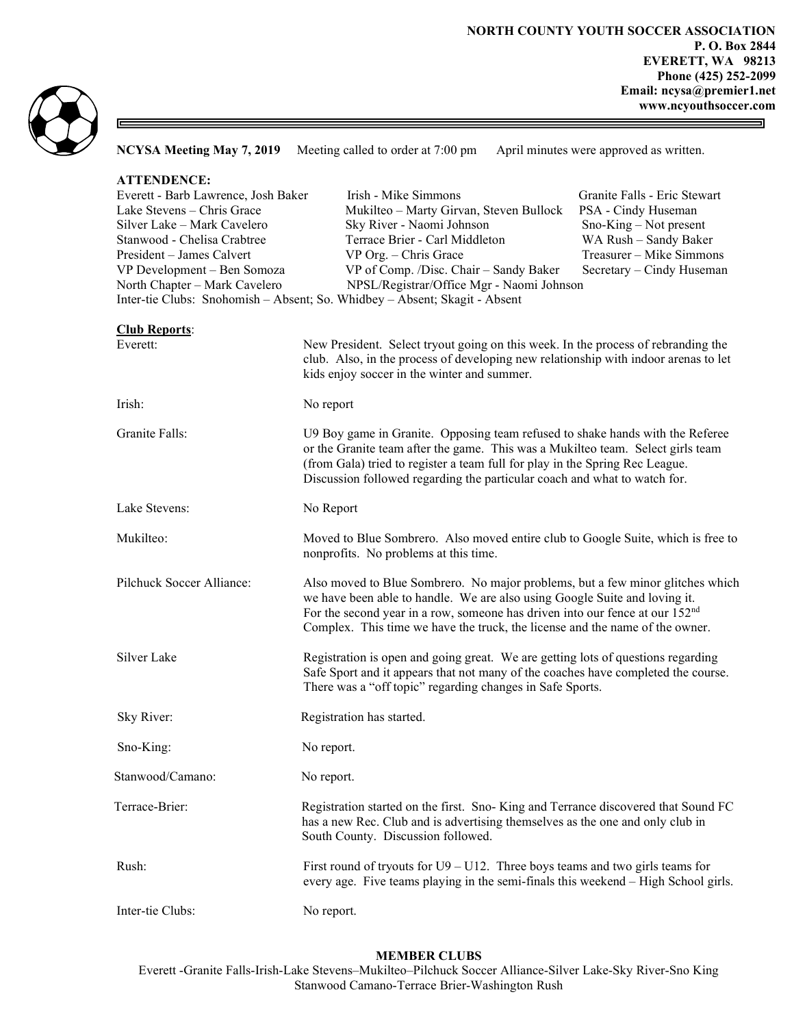

固

 $\equiv$ 

NCYSA Meeting May 7, 2019 Meeting called to order at 7:00 pm April minutes were approved as written.

| <b>ATTENDENCE:</b><br>Everett - Barb Lawrence, Josh Baker<br>Lake Stevens - Chris Grace<br>Silver Lake - Mark Cavelero<br>Stanwood - Chelisa Crabtree<br>President - James Calvert<br>VP Development - Ben Somoza<br>North Chapter - Mark Cavelero | Irish - Mike Simmons<br>Granite Falls - Eric Stewart<br>Mukilteo - Marty Girvan, Steven Bullock<br>PSA - Cindy Huseman<br>Sky River - Naomi Johnson<br>$Sno-King-Not present$<br>Terrace Brier - Carl Middleton<br>WA Rush - Sandy Baker<br>Treasurer - Mike Simmons<br>VP Org. - Chris Grace<br>VP of Comp. /Disc. Chair - Sandy Baker<br>Secretary - Cindy Huseman<br>NPSL/Registrar/Office Mgr - Naomi Johnson<br>Inter-tie Clubs: Snohomish - Absent; So. Whidbey - Absent; Skagit - Absent |
|----------------------------------------------------------------------------------------------------------------------------------------------------------------------------------------------------------------------------------------------------|-------------------------------------------------------------------------------------------------------------------------------------------------------------------------------------------------------------------------------------------------------------------------------------------------------------------------------------------------------------------------------------------------------------------------------------------------------------------------------------------------|
| <b>Club Reports:</b><br>Everett:                                                                                                                                                                                                                   | New President. Select tryout going on this week. In the process of rebranding the<br>club. Also, in the process of developing new relationship with indoor arenas to let<br>kids enjoy soccer in the winter and summer.                                                                                                                                                                                                                                                                         |
| Irish:                                                                                                                                                                                                                                             | No report                                                                                                                                                                                                                                                                                                                                                                                                                                                                                       |
| Granite Falls:                                                                                                                                                                                                                                     | U9 Boy game in Granite. Opposing team refused to shake hands with the Referee<br>or the Granite team after the game. This was a Mukilteo team. Select girls team<br>(from Gala) tried to register a team full for play in the Spring Rec League.<br>Discussion followed regarding the particular coach and what to watch for.                                                                                                                                                                   |
| Lake Stevens:                                                                                                                                                                                                                                      | No Report                                                                                                                                                                                                                                                                                                                                                                                                                                                                                       |
| Mukilteo:                                                                                                                                                                                                                                          | Moved to Blue Sombrero. Also moved entire club to Google Suite, which is free to<br>nonprofits. No problems at this time.                                                                                                                                                                                                                                                                                                                                                                       |
| Pilchuck Soccer Alliance:                                                                                                                                                                                                                          | Also moved to Blue Sombrero. No major problems, but a few minor glitches which<br>we have been able to handle. We are also using Google Suite and loving it.<br>For the second year in a row, someone has driven into our fence at our 152 <sup>nd</sup><br>Complex. This time we have the truck, the license and the name of the owner.                                                                                                                                                        |
| Silver Lake                                                                                                                                                                                                                                        | Registration is open and going great. We are getting lots of questions regarding<br>Safe Sport and it appears that not many of the coaches have completed the course.<br>There was a "off topic" regarding changes in Safe Sports.                                                                                                                                                                                                                                                              |
| Sky River:                                                                                                                                                                                                                                         | Registration has started.                                                                                                                                                                                                                                                                                                                                                                                                                                                                       |
| Sno-King:                                                                                                                                                                                                                                          | No report.                                                                                                                                                                                                                                                                                                                                                                                                                                                                                      |
| Stanwood/Camano:                                                                                                                                                                                                                                   | No report.                                                                                                                                                                                                                                                                                                                                                                                                                                                                                      |
| Terrace-Brier:                                                                                                                                                                                                                                     | Registration started on the first. Sno-King and Terrance discovered that Sound FC<br>has a new Rec. Club and is advertising themselves as the one and only club in<br>South County. Discussion followed.                                                                                                                                                                                                                                                                                        |
| Rush:                                                                                                                                                                                                                                              | First round of tryouts for $U9 - U12$ . Three boys teams and two girls teams for<br>every age. Five teams playing in the semi-finals this weekend - High School girls.                                                                                                                                                                                                                                                                                                                          |
| Inter-tie Clubs:                                                                                                                                                                                                                                   | No report.                                                                                                                                                                                                                                                                                                                                                                                                                                                                                      |

## MEMBER CLUBS

Everett -Granite Falls-Irish-Lake Stevens–Mukilteo–Pilchuck Soccer Alliance-Silver Lake-Sky River-Sno King Stanwood Camano-Terrace Brier-Washington Rush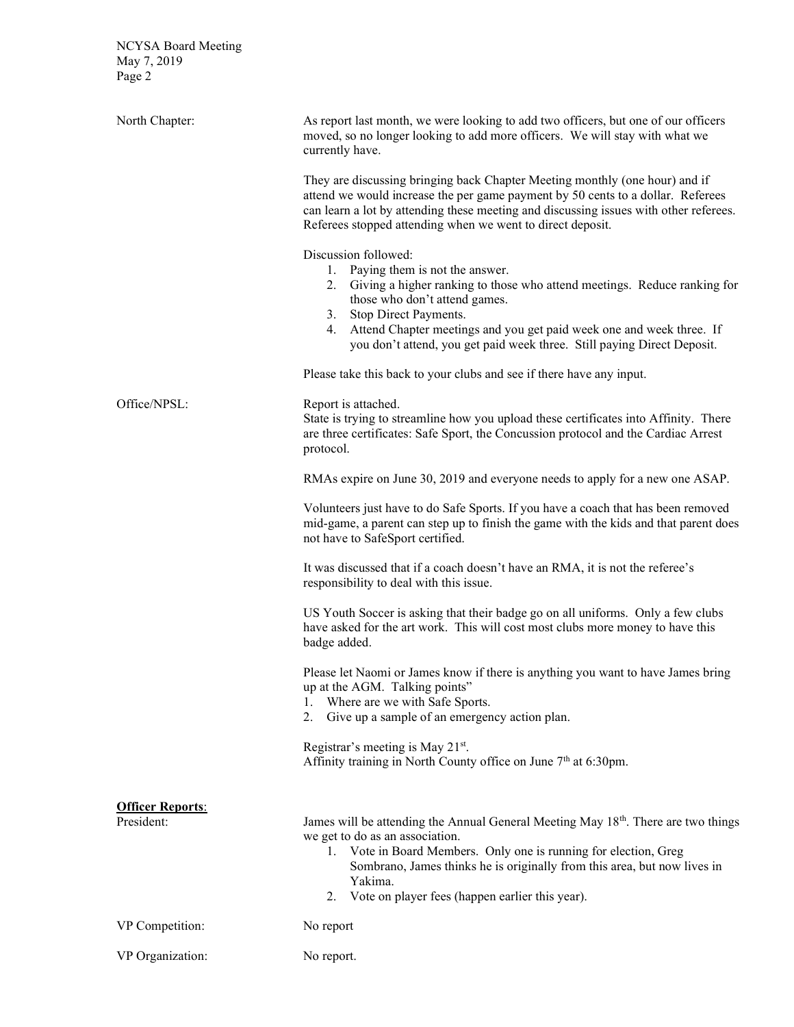NCYSA Board Meeting May 7, 2019 Page 2

| North Chapter:                        | As report last month, we were looking to add two officers, but one of our officers<br>moved, so no longer looking to add more officers. We will stay with what we<br>currently have.<br>They are discussing bringing back Chapter Meeting monthly (one hour) and if<br>attend we would increase the per game payment by 50 cents to a dollar. Referees<br>can learn a lot by attending these meeting and discussing issues with other referees.<br>Referees stopped attending when we went to direct deposit.<br>Discussion followed:<br>1. Paying them is not the answer.<br>2.<br>Giving a higher ranking to those who attend meetings. Reduce ranking for<br>those who don't attend games.<br>Stop Direct Payments.<br>3.<br>Attend Chapter meetings and you get paid week one and week three. If<br>4.<br>you don't attend, you get paid week three. Still paying Direct Deposit. |
|---------------------------------------|---------------------------------------------------------------------------------------------------------------------------------------------------------------------------------------------------------------------------------------------------------------------------------------------------------------------------------------------------------------------------------------------------------------------------------------------------------------------------------------------------------------------------------------------------------------------------------------------------------------------------------------------------------------------------------------------------------------------------------------------------------------------------------------------------------------------------------------------------------------------------------------|
|                                       | Please take this back to your clubs and see if there have any input.                                                                                                                                                                                                                                                                                                                                                                                                                                                                                                                                                                                                                                                                                                                                                                                                                  |
| Office/NPSL:                          | Report is attached.<br>State is trying to streamline how you upload these certificates into Affinity. There<br>are three certificates: Safe Sport, the Concussion protocol and the Cardiac Arrest<br>protocol.                                                                                                                                                                                                                                                                                                                                                                                                                                                                                                                                                                                                                                                                        |
|                                       | RMAs expire on June 30, 2019 and everyone needs to apply for a new one ASAP.                                                                                                                                                                                                                                                                                                                                                                                                                                                                                                                                                                                                                                                                                                                                                                                                          |
|                                       | Volunteers just have to do Safe Sports. If you have a coach that has been removed<br>mid-game, a parent can step up to finish the game with the kids and that parent does<br>not have to SafeSport certified.                                                                                                                                                                                                                                                                                                                                                                                                                                                                                                                                                                                                                                                                         |
|                                       | It was discussed that if a coach doesn't have an RMA, it is not the referee's<br>responsibility to deal with this issue.                                                                                                                                                                                                                                                                                                                                                                                                                                                                                                                                                                                                                                                                                                                                                              |
|                                       | US Youth Soccer is asking that their badge go on all uniforms. Only a few clubs<br>have asked for the art work. This will cost most clubs more money to have this<br>badge added.                                                                                                                                                                                                                                                                                                                                                                                                                                                                                                                                                                                                                                                                                                     |
|                                       | Please let Naomi or James know if there is anything you want to have James bring<br>up at the AGM. Talking points"<br>Where are we with Safe Sports.<br>1.<br>Give up a sample of an emergency action plan.<br>2.                                                                                                                                                                                                                                                                                                                                                                                                                                                                                                                                                                                                                                                                     |
|                                       | Registrar's meeting is May 21 <sup>st</sup> .<br>Affinity training in North County office on June 7 <sup>th</sup> at 6:30pm.                                                                                                                                                                                                                                                                                                                                                                                                                                                                                                                                                                                                                                                                                                                                                          |
| <b>Officer Reports:</b><br>President: | James will be attending the Annual General Meeting May 18th. There are two things<br>we get to do as an association.<br>1. Vote in Board Members. Only one is running for election, Greg<br>Sombrano, James thinks he is originally from this area, but now lives in<br>Yakima.<br>Vote on player fees (happen earlier this year).<br>2.                                                                                                                                                                                                                                                                                                                                                                                                                                                                                                                                              |
| VP Competition:                       | No report                                                                                                                                                                                                                                                                                                                                                                                                                                                                                                                                                                                                                                                                                                                                                                                                                                                                             |
| VP Organization:                      | No report.                                                                                                                                                                                                                                                                                                                                                                                                                                                                                                                                                                                                                                                                                                                                                                                                                                                                            |